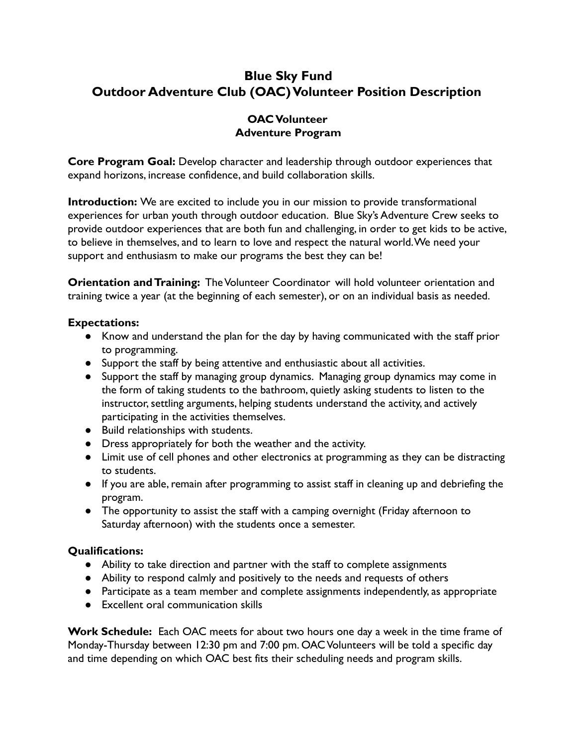# **Blue Sky Fund Outdoor Adventure Club (OAC)Volunteer Position Description**

### **OAC Volunteer Adventure Program**

**Core Program Goal:** Develop character and leadership through outdoor experiences that expand horizons, increase confidence, and build collaboration skills.

**Introduction:** We are excited to include you in our mission to provide transformational experiences for urban youth through outdoor education. Blue Sky's Adventure Crew seeks to provide outdoor experiences that are both fun and challenging, in order to get kids to be active, to believe in themselves, and to learn to love and respect the natural world.We need your support and enthusiasm to make our programs the best they can be!

**Orientation and Training:** The Volunteer Coordinator will hold volunteer orientation and training twice a year (at the beginning of each semester), or on an individual basis as needed.

#### **Expectations:**

- Know and understand the plan for the day by having communicated with the staff prior to programming.
- Support the staff by being attentive and enthusiastic about all activities.
- Support the staff by managing group dynamics. Managing group dynamics may come in the form of taking students to the bathroom, quietly asking students to listen to the instructor, settling arguments, helping students understand the activity, and actively participating in the activities themselves.
- Build relationships with students.
- **●** Dress appropriately for both the weather and the activity.
- **●** Limit use of cell phones and other electronics at programming as they can be distracting to students.
- **●** If you are able, remain after programming to assist staff in cleaning up and debriefing the program.
- **●** The opportunity to assist the staff with a camping overnight (Friday afternoon to Saturday afternoon) with the students once a semester.

## **Qualifications:**

- Ability to take direction and partner with the staff to complete assignments
- Ability to respond calmly and positively to the needs and requests of others
- Participate as a team member and complete assignments independently, as appropriate
- Excellent oral communication skills

**Work Schedule:** Each OAC meets for about two hours one day a week in the time frame of Monday-Thursday between 12:30 pm and 7:00 pm. OAC Volunteers will be told a specific day and time depending on which OAC best fits their scheduling needs and program skills.